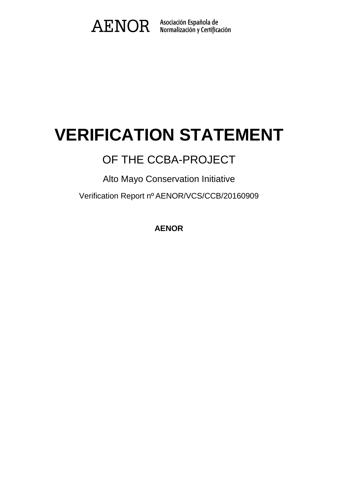

# **VERIFICATION STATEMENT**

## OF THE CCBA-PROJECT

Alto Mayo Conservation Initiative

Verification Report nº AENOR/VCS/CCB/20160909

**AENOR**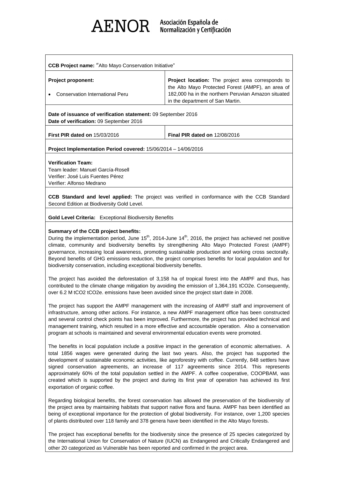

| <b>Project proponent:</b>                                                                                | Project location: The project area corresponds to                                                                                            |
|----------------------------------------------------------------------------------------------------------|----------------------------------------------------------------------------------------------------------------------------------------------|
| Conservation International Peru                                                                          | the Alto Mayo Protected Forest (AMPF), an area of<br>182,000 ha in the northern Peruvian Amazon situated<br>in the department of San Martin. |
| Date of issuance of verification statement: 09 September 2016<br>Date of verification: 09 September 2016 |                                                                                                                                              |

**First PIR dated on** 15/03/2016 **Final PIR dated on** 12/08/2016

**Project Implementation Period covered:** 15/06/2014 – 14/06/2016

### **Verification Team:**

Team leader: Manuel García-Rosell Verifier: José Luis Fuentes Pérez Verifier: Alfonso Medrano

**CCB Standard and level applied:** The project was verified in conformance with the CCB Standard Second Edition at Biodiversity Gold Level.

**Gold Level Criteria:** Exceptional Biodiversity Benefits

### **Summary of the CCB project benefits:**

During the implementation period, June  $15<sup>th</sup>$ , 2014-June  $14<sup>th</sup>$ , 2016, the project has achieved net positive climate, community and biodiversity benefits by strengthening Alto Mayo Protected Forest (AMPF) governance, increasing local awareness, promoting sustainable production and working cross sectorally. Beyond benefits of GHG emissions reduction, the project comprises benefits for local population and for biodiversity conservation, including exceptional biodiversity benefits.

The project has avoided the deforestation of 3,158 ha of tropical forest into the AMPF and thus, has contributed to the climate change mitigation by avoiding the emission of 1,364,191 tCO2e. Consequently, over 6.2 M tCO2 tCO2e. emissions have been avoided since the project start date in 2008.

The project has support the AMPF management with the increasing of AMPF staff and improvement of infrastructure, among other actions. For instance, a new AMPF management office has been constructed and several control check points has been improved. Furthermore, the project has provided technical and management training, which resulted in a more effective and accountable operation. Also a conservation program at schools is maintained and several environmental education events were promoted.

The benefits in local population include a positive impact in the generation of economic alternatives. A total 1856 wages were generated during the last two years. Also, the project has supported the development of sustainable economic activities, like agroforestry with coffee. Currently, 848 settlers have signed conservation agreements, an increase of 117 agreements since 2014. This represents approximately 60% of the total population settled in the AMPF. A coffee cooperative, COOPBAM, was created which is supported by the project and during its first year of operation has achieved its first exportation of organic coffee.

Regarding biological benefits, the forest conservation has allowed the preservation of the biodiversity of the project area by maintaining habitats that support native flora and fauna. AMPF has been identified as being of exceptional importance for the protection of global biodiversity. For instance, over 1,200 species of plants distributed over 118 family and 378 genera have been identified in the Alto Mayo forests.

The project has exceptional benefits for the biodiversity since the presence of 25 species categorized by the International Union for Conservation of Nature (IUCN) as Endangered and Critically Endangered and other 20 categorized as Vulnerable has been reported and confirmed in the project area.